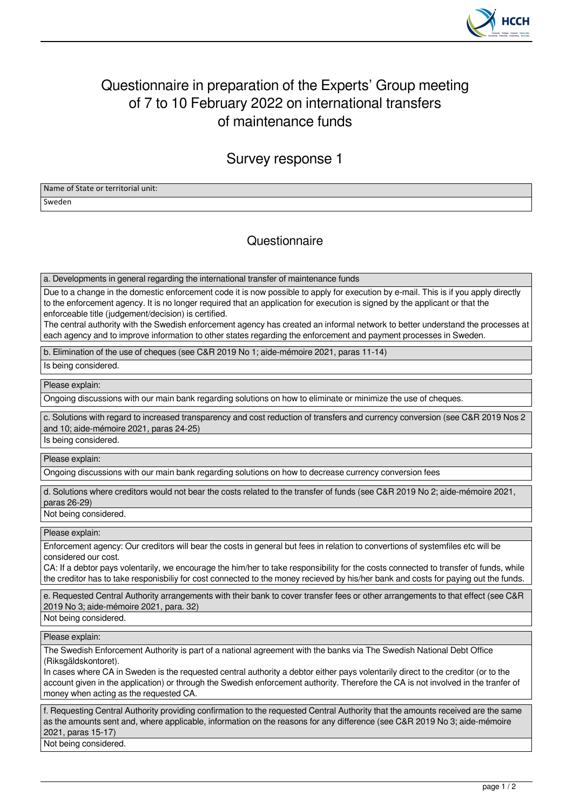

## Questionnaire in preparation of the Experts' Group meeting of 7 to 10 February 2022 on international transfers of maintenance funds

Survey response 1

Name of State or territorial unit: Sweden

## **Questionnaire**

a. Developments in general regarding the international transfer of maintenance funds

Due to a change in the domestic enforcement code it is now possible to apply for execution by e-mail. This is if you apply directly to the enforcement agency. It is no longer required that an application for execution is signed by the applicant or that the enforceable title (judgement/decision) is certified.

The central authority with the Swedish enforcement agency has created an informal network to better understand the processes at each agency and to improve information to other states regarding the enforcement and payment processes in Sweden.

b. Elimination of the use of cheques (see C&R 2019 No 1; aide-mémoire 2021, paras 11-14)

Is being considered.

Please explain:

Ongoing discussions with our main bank regarding solutions on how to eliminate or minimize the use of cheques.

c. Solutions with regard to increased transparency and cost reduction of transfers and currency conversion (see C&R 2019 Nos 2 and 10; aide-mémoire 2021, paras 24-25)

Is being considered.

Please explain:

Ongoing discussions with our main bank regarding solutions on how to decrease currency conversion fees

d. Solutions where creditors would not bear the costs related to the transfer of funds (see C&R 2019 No 2; aide-mémoire 2021, paras 26-29)

Not being considered.

Please explain:

Enforcement agency: Our creditors will bear the costs in general but fees in relation to convertions of systemfiles etc will be considered our cost.

CA: If a debtor pays volentarily, we encourage the him/her to take responsibility for the costs connected to transfer of funds, while the creditor has to take responisbiliy for cost connected to the money recieved by his/her bank and costs for paying out the funds.

e. Requested Central Authority arrangements with their bank to cover transfer fees or other arrangements to that effect (see C&R 2019 No 3; aide-mémoire 2021, para. 32)

Not being considered.

Please explain:

The Swedish Enforcement Authority is part of a national agreement with the banks via The Swedish National Debt Office (Riksgäldskontoret).

In cases where CA in Sweden is the requested central authority a debtor either pays volentarily direct to the creditor (or to the account given in the application) or through the Swedish enforcement authority. Therefore the CA is not involved in the tranfer of money when acting as the requested CA.

f. Requesting Central Authority providing confirmation to the requested Central Authority that the amounts received are the same as the amounts sent and, where applicable, information on the reasons for any difference (see C&R 2019 No 3; aide-mémoire 2021, paras 15-17)

Not being considered.